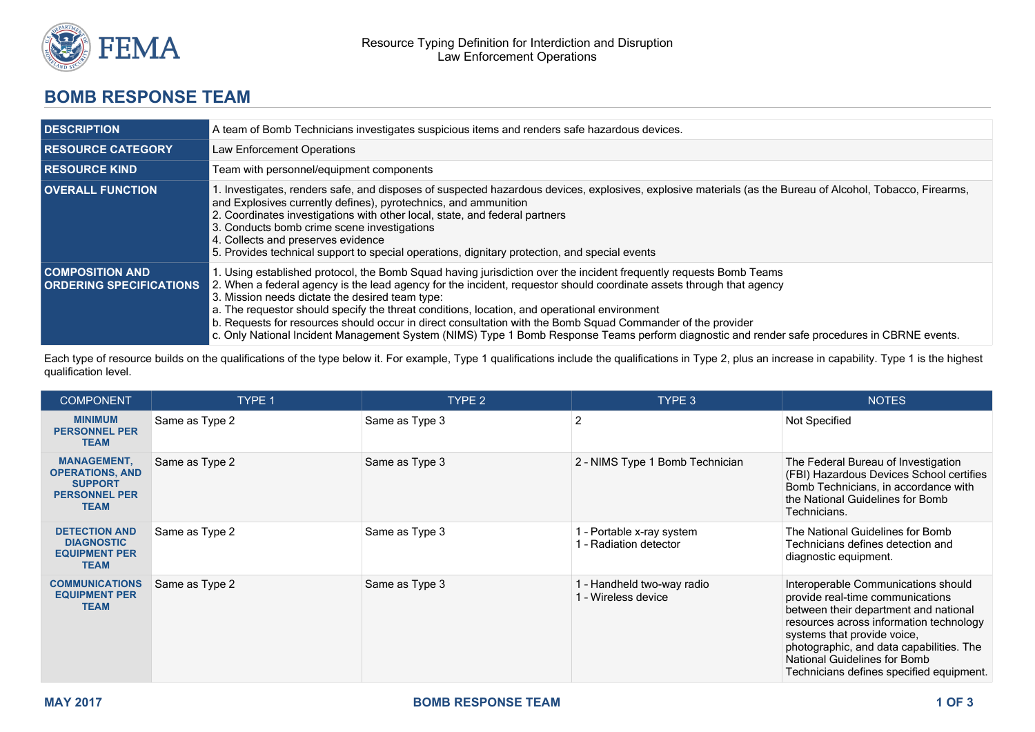

## **BOMB RESPONSE TEAM**

| <b>DESCRIPTION</b>                                       | A team of Bomb Technicians investigates suspicious items and renders safe hazardous devices.                                                                                                                                                                                                                                                                                                                                                                                                                                                                                                                                                                 |  |  |
|----------------------------------------------------------|--------------------------------------------------------------------------------------------------------------------------------------------------------------------------------------------------------------------------------------------------------------------------------------------------------------------------------------------------------------------------------------------------------------------------------------------------------------------------------------------------------------------------------------------------------------------------------------------------------------------------------------------------------------|--|--|
| <b>RESOURCE CATEGORY</b>                                 | Law Enforcement Operations                                                                                                                                                                                                                                                                                                                                                                                                                                                                                                                                                                                                                                   |  |  |
| <b>RESOURCE KIND</b>                                     | Team with personnel/equipment components                                                                                                                                                                                                                                                                                                                                                                                                                                                                                                                                                                                                                     |  |  |
| <b>OVERALL FUNCTION</b>                                  | 1. Investigates, renders safe, and disposes of suspected hazardous devices, explosives, explosive materials (as the Bureau of Alcohol, Tobacco, Firearms,<br>and Explosives currently defines), pyrotechnics, and ammunition<br>2. Coordinates investigations with other local, state, and federal partners<br>3. Conducts bomb crime scene investigations<br>4. Collects and preserves evidence<br>5. Provides technical support to special operations, dignitary protection, and special events                                                                                                                                                            |  |  |
| <b>COMPOSITION AND</b><br><b>ORDERING SPECIFICATIONS</b> | 1. Using established protocol, the Bomb Squad having jurisdiction over the incident frequently requests Bomb Teams<br>2. When a federal agency is the lead agency for the incident, requestor should coordinate assets through that agency<br>3. Mission needs dictate the desired team type:<br>a. The requestor should specify the threat conditions, location, and operational environment<br>b. Requests for resources should occur in direct consultation with the Bomb Squad Commander of the provider<br>c. Only National Incident Management System (NIMS) Type 1 Bomb Response Teams perform diagnostic and render safe procedures in CBRNE events. |  |  |

Each type of resource builds on the qualifications of the type below it. For example, Type 1 qualifications include the qualifications in Type 2, plus an increase in capability. Type 1 is the highest qualification level.

| <b>COMPONENT</b>                                                                                      | TYPE 1         | TYPE 2         | TYPE 3                                              | <b>NOTES</b>                                                                                                                                                                                                                                                                                                              |
|-------------------------------------------------------------------------------------------------------|----------------|----------------|-----------------------------------------------------|---------------------------------------------------------------------------------------------------------------------------------------------------------------------------------------------------------------------------------------------------------------------------------------------------------------------------|
| <b>MINIMUM</b><br><b>PERSONNEL PER</b><br><b>TEAM</b>                                                 | Same as Type 2 | Same as Type 3 | $\overline{2}$                                      | Not Specified                                                                                                                                                                                                                                                                                                             |
| <b>MANAGEMENT,</b><br><b>OPERATIONS, AND</b><br><b>SUPPORT</b><br><b>PERSONNEL PER</b><br><b>TEAM</b> | Same as Type 2 | Same as Type 3 | 2 - NIMS Type 1 Bomb Technician                     | The Federal Bureau of Investigation<br>(FBI) Hazardous Devices School certifies<br>Bomb Technicians, in accordance with<br>the National Guidelines for Bomb<br>Technicians.                                                                                                                                               |
| <b>DETECTION AND</b><br><b>DIAGNOSTIC</b><br><b>EQUIPMENT PER</b><br><b>TEAM</b>                      | Same as Type 2 | Same as Type 3 | 1 - Portable x-ray system<br>1 - Radiation detector | The National Guidelines for Bomb<br>Technicians defines detection and<br>diagnostic equipment.                                                                                                                                                                                                                            |
| <b>COMMUNICATIONS</b><br><b>EQUIPMENT PER</b><br><b>TEAM</b>                                          | Same as Type 2 | Same as Type 3 | 1 - Handheld two-way radio<br>1 - Wireless device   | Interoperable Communications should<br>provide real-time communications<br>between their department and national<br>resources across information technology<br>systems that provide voice.<br>photographic, and data capabilities. The<br><b>National Guidelines for Bomb</b><br>Technicians defines specified equipment. |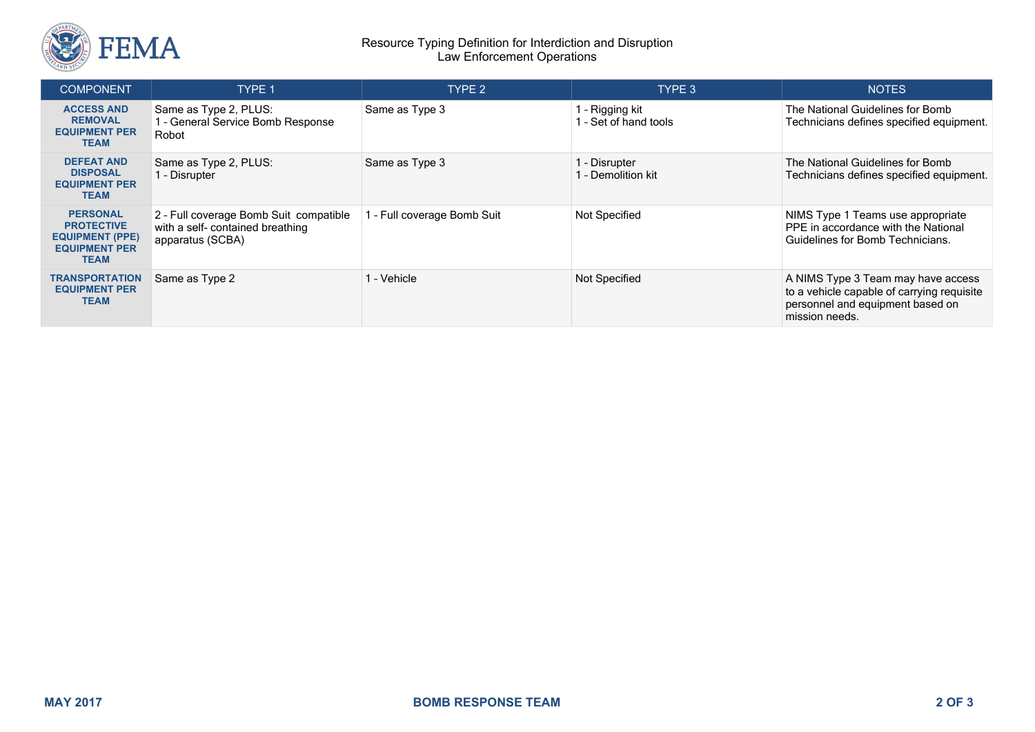

## Resource Typing Definition for Interdiction and Disruption Law Enforcement Operations

| <b>COMPONENT</b>                                                                                      | <b>TYPE 1</b>                                                                                  | TYPE 2                      | TYPE 3                                   | <b>NOTES</b>                                                                                                                           |
|-------------------------------------------------------------------------------------------------------|------------------------------------------------------------------------------------------------|-----------------------------|------------------------------------------|----------------------------------------------------------------------------------------------------------------------------------------|
| <b>ACCESS AND</b><br><b>REMOVAL</b><br><b>EQUIPMENT PER</b><br><b>TEAM</b>                            | Same as Type 2, PLUS:<br>1 - General Service Bomb Response<br>Robot                            | Same as Type 3              | 1 - Rigging kit<br>1 - Set of hand tools | The National Guidelines for Bomb<br>Technicians defines specified equipment.                                                           |
| <b>DEFEAT AND</b><br><b>DISPOSAL</b><br><b>EQUIPMENT PER</b><br><b>TEAM</b>                           | Same as Type 2, PLUS:<br>1 - Disrupter                                                         | Same as Type 3              | 1 - Disrupter<br>1 - Demolition kit      | The National Guidelines for Bomb<br>Technicians defines specified equipment.                                                           |
| <b>PERSONAL</b><br><b>PROTECTIVE</b><br><b>EQUIPMENT (PPE)</b><br><b>EQUIPMENT PER</b><br><b>TEAM</b> | 2 - Full coverage Bomb Suit compatible<br>with a self- contained breathing<br>apparatus (SCBA) | 1 - Full coverage Bomb Suit | Not Specified                            | NIMS Type 1 Teams use appropriate<br>PPE in accordance with the National<br>Guidelines for Bomb Technicians.                           |
| <b>TRANSPORTATION</b><br><b>EQUIPMENT PER</b><br><b>TEAM</b>                                          | Same as Type 2                                                                                 | 1 - Vehicle                 | Not Specified                            | A NIMS Type 3 Team may have access<br>to a vehicle capable of carrying requisite<br>personnel and equipment based on<br>mission needs. |